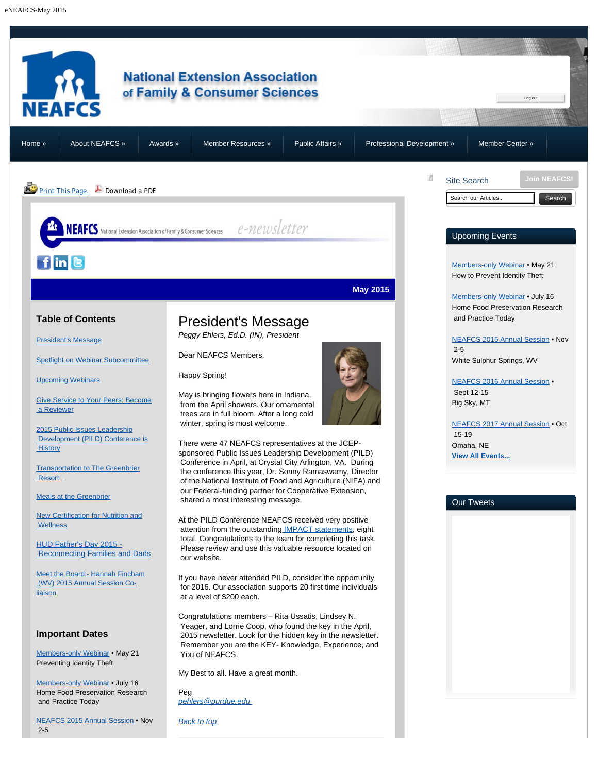<span id="page-0-0"></span>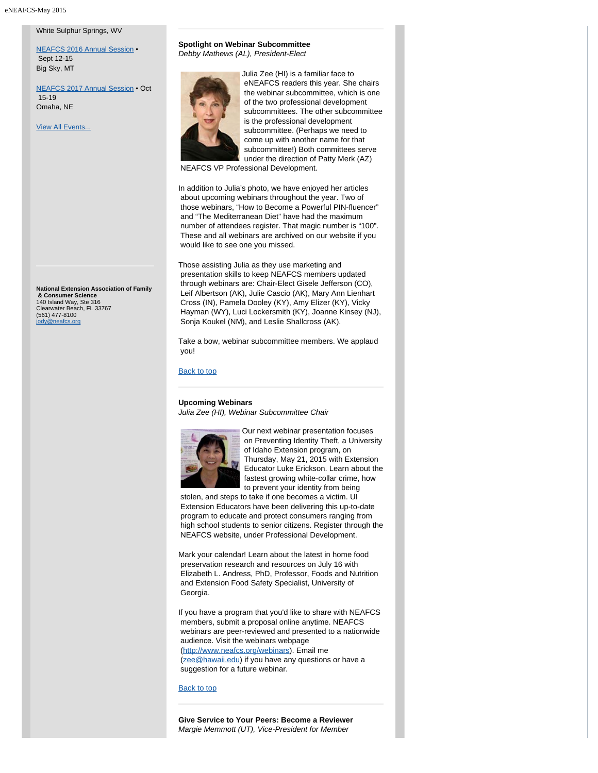White Sulphur Springs, WV

<span id="page-1-0"></span>[NEAFCS 2016 Annual Session](https://neafcs.memberclicks.net/index.php?option=com_mc&view=mc&mcid=9) • Sept 12-15 Big Sky, MT

[NEAFCS 2017 Annual Session](https://neafcs.memberclicks.net/index.php?option=com_mc&view=mc&mcid=9) • Oct 15-19 Omaha, NE

**National Extension Association of Family**

 **& Consumer Science** 140 Island Way, Ste 316 Clearwater Beach, FL 33767

<span id="page-1-1"></span>(561) 477-8100 [jody@neafcs.org](mailto:jody@neafcs.org)

[View All Events...](https://neafcs.memberclicks.net/index.php?option=com_mc&view=mc&mcid=9)

**Spotlight on Webinar Subcommittee** *Debby Mathews (AL), President-Elect*



Julia Zee (HI) is a familiar face to eNEAFCS readers this year. She chairs the webinar subcommittee, which is one of the two professional development subcommittees. The other subcommittee is the professional development subcommittee. (Perhaps we need to come up with another name for that subcommittee!) Both committees serve under the direction of Patty Merk (AZ)

NEAFCS VP Professional Development.

In addition to Julia's photo, we have enjoyed her articles about upcoming webinars throughout the year. Two of those webinars, "How to Become a Powerful PIN-fluencer" and "The Mediterranean Diet" have had the maximum number of attendees register. That magic number is "100". These and all webinars are archived on our website if you would like to see one you missed.

Those assisting Julia as they use marketing and presentation skills to keep NEAFCS members updated through webinars are: Chair-Elect Gisele Jefferson (CO), Leif Albertson (AK), Julie Cascio (AK), Mary Ann Lienhart Cross (IN), Pamela Dooley (KY), Amy Elizer (KY), Vicky Hayman (WY), Luci Lockersmith (KY), Joanne Kinsey (NJ), Sonja Koukel (NM), and Leslie Shallcross (AK).

Take a bow, webinar subcommittee members. We applaud you!

[Back to top](#page-0-0)

#### **Upcoming Webinars**

*Julia Zee (HI), Webinar Subcommittee Chair*



Our next webinar presentation focuses on Preventing Identity Theft, a University of Idaho Extension program, on Thursday, May 21, 2015 with Extension Educator Luke Erickson. Learn about the fastest growing white-collar crime, how to prevent your identity from being

 stolen, and steps to take if one becomes a victim. UI Extension Educators have been delivering this up-to-date program to educate and protect consumers ranging from high school students to senior citizens. Register through the NEAFCS website, under Professional Development.

Mark your calendar! Learn about the latest in home food preservation research and resources on July 16 with Elizabeth L. Andress, PhD, Professor, Foods and Nutrition and Extension Food Safety Specialist, University of Georgia.

If you have a program that you'd like to share with NEAFCS members, submit a proposal online anytime. NEAFCS webinars are peer-reviewed and presented to a nationwide audience. Visit the webinars webpage [\(http://www.neafcs.org/webinars](http://www.neafcs.org/webinars)). Email me [\(zee@hawaii.edu](mailto:zee@hawaii.edu)) if you have any questions or have a suggestion for a future webinar.

[Back to top](#page-0-0)

<span id="page-1-2"></span>**Give Service to Your Peers: Become a Reviewer** *Margie Memmott (UT), Vice-President for Member*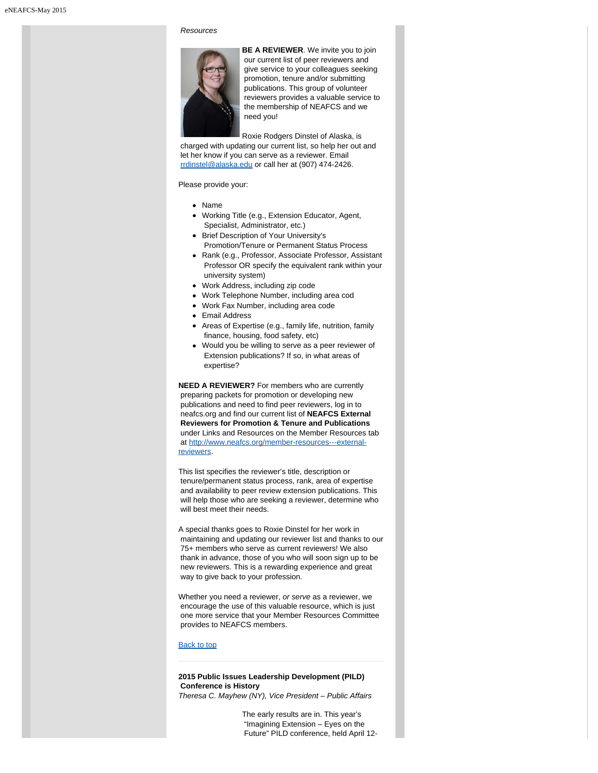## *Resources*



**BE A REVIEWER**. We invite you to join our current list of peer reviewers and give service to your colleagues seeking promotion, tenure and/or submitting publications. This group of volunteer reviewers provides a valuable service to the membership of NEAFCS and we need you!

Roxie Rodgers Dinstel of Alaska, is charged with updating our current list, so help her out and let her know if you can serve as a reviewer. Email [rrdinstel@alaska.edu](mailto:rrdinstel@alaska.edu) or call her at (907) 474-2426.

Please provide your:

- Name
- Working Title (e.g., Extension Educator, Agent, Specialist, Administrator, etc.)
- Brief Description of Your University's Promotion/Tenure or Permanent Status Process
- Rank (e.g., Professor, Associate Professor, Assistant Professor OR specify the equivalent rank within your university system)
- Work Address, including zip code
- Work Telephone Number, including area cod
- Work Fax Number, including area code
- Email Address
- Areas of Expertise (e.g., family life, nutrition, family finance, housing, food safety, etc)
- Would you be willing to serve as a peer reviewer of Extension publications? If so, in what areas of expertise?

**NEED A REVIEWER?** For members who are currently preparing packets for promotion or developing new publications and need to find peer reviewers, log in to neafcs.org and find our current list of **NEAFCS External Reviewers for Promotion & Tenure and Publications** under Links and Resources on the Member Resources tab at [http://www.neafcs.org/member-resources---external](http://www.neafcs.org/member-resources---external-reviewers)[reviewers](http://www.neafcs.org/member-resources---external-reviewers).

This list specifies the reviewer's title, description or tenure/permanent status process, rank, area of expertise and availability to peer review extension publications. This will help those who are seeking a reviewer, determine who will best meet their needs.

A special thanks goes to Roxie Dinstel for her work in maintaining and updating our reviewer list and thanks to our 75+ members who serve as current reviewers! We also thank in advance, those of you who will soon sign up to be new reviewers. This is a rewarding experience and great way to give back to your profession.

Whether you need a reviewer, *or serve* as a reviewer, we encourage the use of this valuable resource, which is just one more service that your Member Resources Committee provides to NEAFCS members.

#### [Back to top](#page-0-0)

# <span id="page-2-0"></span>**2015 Public Issues Leadership Development (PILD) Conference is History**

*Theresa C. Mayhew (NY), Vice President – Public Affairs*

The early results are in. This year's "Imagining Extension – Eyes on the Future" PILD conference, held April 12-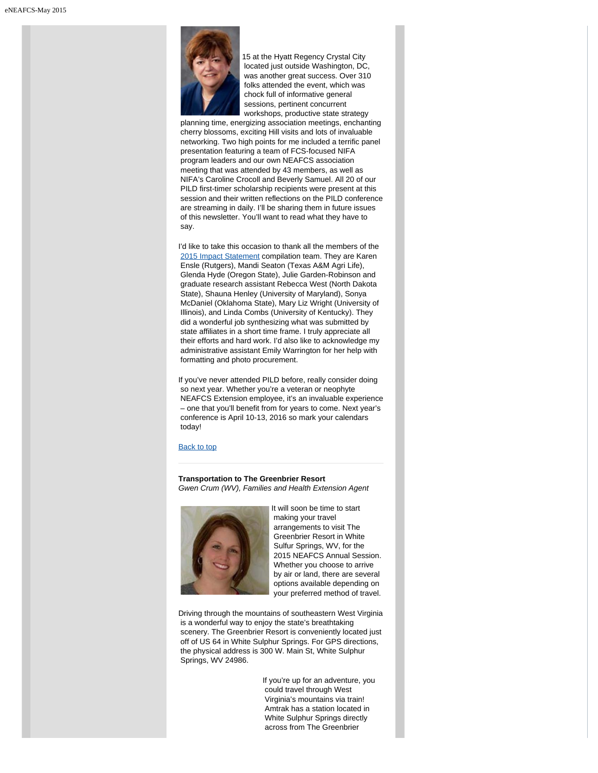

15 at the Hyatt Regency Crystal City located just outside Washington, DC, was another great success. Over 310 folks attended the event, which was chock full of informative general sessions, pertinent concurrent workshops, productive state strategy

 planning time, energizing association meetings, enchanting cherry blossoms, exciting Hill visits and lots of invaluable networking. Two high points for me included a terrific panel presentation featuring a team of FCS-focused NIFA program leaders and our own NEAFCS association meeting that was attended by 43 members, as well as NIFA's Caroline Crocoll and Beverly Samuel. All 20 of our PILD first-timer scholarship recipients were present at this session and their written reflections on the PILD conference are streaming in daily. I'll be sharing them in future issues of this newsletter. You'll want to read what they have to say.

I'd like to take this occasion to thank all the members of the [2015 Impact Statement](https://neafcs.memberclicks.net/impact-statements) compilation team. They are Karen Ensle (Rutgers), Mandi Seaton (Texas A&M Agri Life), Glenda Hyde (Oregon State), Julie Garden-Robinson and graduate research assistant Rebecca West (North Dakota State), Shauna Henley (University of Maryland), Sonya McDaniel (Oklahoma State), Mary Liz Wright (University of Illinois), and Linda Combs (University of Kentucky). They did a wonderful job synthesizing what was submitted by state affiliates in a short time frame. I truly appreciate all their efforts and hard work. I'd also like to acknowledge my administrative assistant Emily Warrington for her help with formatting and photo procurement.

If you've never attended PILD before, really consider doing so next year. Whether you're a veteran or neophyte NEAFCS Extension employee, it's an invaluable experience – one that you'll benefit from for years to come. Next year's conference is April 10-13, 2016 so mark your calendars today!

#### [Back to top](#page-0-0)

**Transportation to The Greenbrier Resort** *Gwen Crum (WV), Families and Health Extension Agent*

<span id="page-3-0"></span>

It will soon be time to start making your travel arrangements to visit The Greenbrier Resort in White Sulfur Springs, WV, for the 2015 NEAFCS Annual Session. Whether you choose to arrive by air or land, there are several options available depending on your preferred method of travel.

Driving through the mountains of southeastern West Virginia is a wonderful way to enjoy the state's breathtaking scenery. The Greenbrier Resort is conveniently located just off of US 64 in White Sulphur Springs. For GPS directions, the physical address is 300 W. Main St, White Sulphur Springs, WV 24986.

> If you're up for an adventure, you could travel through West Virginia's mountains via train! Amtrak has a station located in White Sulphur Springs directly across from The Greenbrier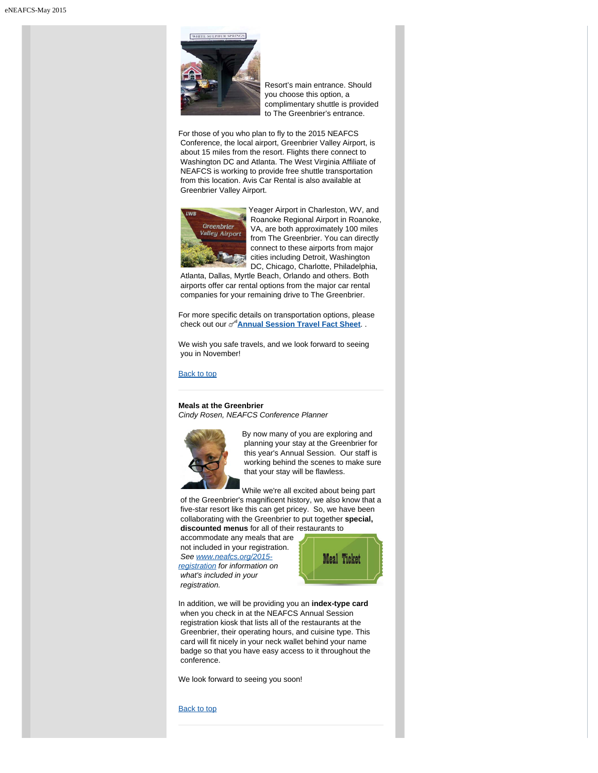

 Resort's main entrance. Should you choose this option, a complimentary shuttle is provided to The Greenbrier's entrance.

For those of you who plan to fly to the 2015 NEAFCS Conference, the local airport, Greenbrier Valley Airport, is about 15 miles from the resort. Flights there connect to Washington DC and Atlanta. The West Virginia Affiliate of NEAFCS is working to provide free shuttle transportation from this location. Avis Car Rental is also available at Greenbrier Valley Airport.



Yeager Airport in Charleston, WV, and Roanoke Regional Airport in Roanoke, VA, are both approximately 100 miles from The Greenbrier. You can directly connect to these airports from major cities including Detroit, Washington DC, Chicago, Charlotte, Philadelphia,

 Atlanta, Dallas, Myrtle Beach, Orlando and others. Both airports offer car rental options from the major car rental companies for your remaining drive to The Greenbrier.

For more specific details on transportation options, please check out our <sup>3</sup>[Annual Session Travel Fact Sheet](http://www.neafcs.org/assets/documents/annual-sessions/2015/2015-annual-session-travel-fact-sheet.pdf).

We wish you safe travels, and we look forward to seeing you in November!

#### [Back to top](#page-0-0)

# <span id="page-4-0"></span>**Meals at the Greenbrier**

*Cindy Rosen, NEAFCS Conference Planner*



By now many of you are exploring and planning your stay at the Greenbrier for this year's Annual Session. Our staff is working behind the scenes to make sure that your stay will be flawless.

While we're all excited about being part of the Greenbrier's magnificent history, we also know that a five-star resort like this can get pricey. So, we have been collaborating with the Greenbrier to put together **special, discounted menus** for all of their restaurants to

 accommodate any meals that are not included in your registration.  *See [www.neafcs.org/2015](https://neafcs.memberclicks.net/2015-registration) [registration](https://neafcs.memberclicks.net/2015-registration) for information on what's included in your registration.*



In addition, we will be providing you an **index-type card** when you check in at the NEAFCS Annual Session registration kiosk that lists all of the restaurants at the Greenbrier, their operating hours, and cuisine type. This card will fit nicely in your neck wallet behind your name badge so that you have easy access to it throughout the conference.

We look forward to seeing you soon!

[Back to top](#page-0-0)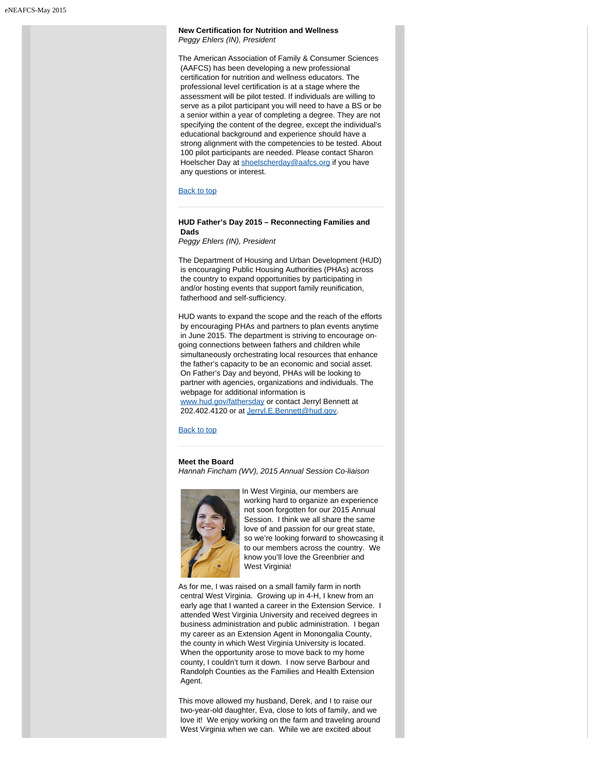#### <span id="page-5-0"></span>**New Certification for Nutrition and Wellness** *Peggy Ehlers (IN), President*

The American Association of Family & Consumer Sciences (AAFCS) has been developing a new professional certification for nutrition and wellness educators. The professional level certification is at a stage where the assessment will be pilot tested. If individuals are willing to serve as a pilot participant you will need to have a BS or be a senior within a year of completing a degree. They are not specifying the content of the degree, except the individual's educational background and experience should have a strong alignment with the competencies to be tested. About 100 pilot participants are needed. Please contact Sharon Hoelscher Day at [shoelscherday@aafcs.org](mailto:shoelscherday@aafcs.org) if you have any questions or interest.

[Back to top](#page-0-0)

### **HUD Father's Day 2015 – Reconnecting Families and Dads**

<span id="page-5-1"></span>*Peggy Ehlers (IN), President*

The Department of Housing and Urban Development (HUD) is encouraging Public Housing Authorities (PHAs) across the country to expand opportunities by participating in and/or hosting events that support family reunification, fatherhood and self-sufficiency.

HUD wants to expand the scope and the reach of the efforts by encouraging PHAs and partners to plan events anytime in June 2015. The department is striving to encourage ongoing connections between fathers and children while simultaneously orchestrating local resources that enhance the father's capacity to be an economic and social asset. On Father's Day and beyond, PHAs will be looking to partner with agencies, organizations and individuals. The webpage for additional information is [www.hud.gov/fathersday](http://www.hud.gov/fathersday) or contact Jerryl Bennett at 202.402.4120 or at [Jerryl.E.Bennett@hud.gov](mailto:Jerryl.E.Bennett@hud.gov).

[Back to top](#page-0-0)

#### **Meet the Board**

*Hannah Fincham (WV), 2015 Annual Session Co-liaison*

<span id="page-5-2"></span>

In West Virginia, our members are working hard to organize an experience not soon forgotten for our 2015 Annual Session. I think we all share the same love of and passion for our great state. so we're looking forward to showcasing it to our members across the country. We know you'll love the Greenbrier and West Virginia!

As for me, I was raised on a small family farm in north central West Virginia. Growing up in 4-H, I knew from an early age that I wanted a career in the Extension Service. I attended West Virginia University and received degrees in business administration and public administration. I began my career as an Extension Agent in Monongalia County, the county in which West Virginia University is located. When the opportunity arose to move back to my home county, I couldn't turn it down. I now serve Barbour and Randolph Counties as the Families and Health Extension Agent.

This move allowed my husband, Derek, and I to raise our two-year-old daughter, Eva, close to lots of family, and we love it! We enjoy working on the farm and traveling around West Virginia when we can. While we are excited about